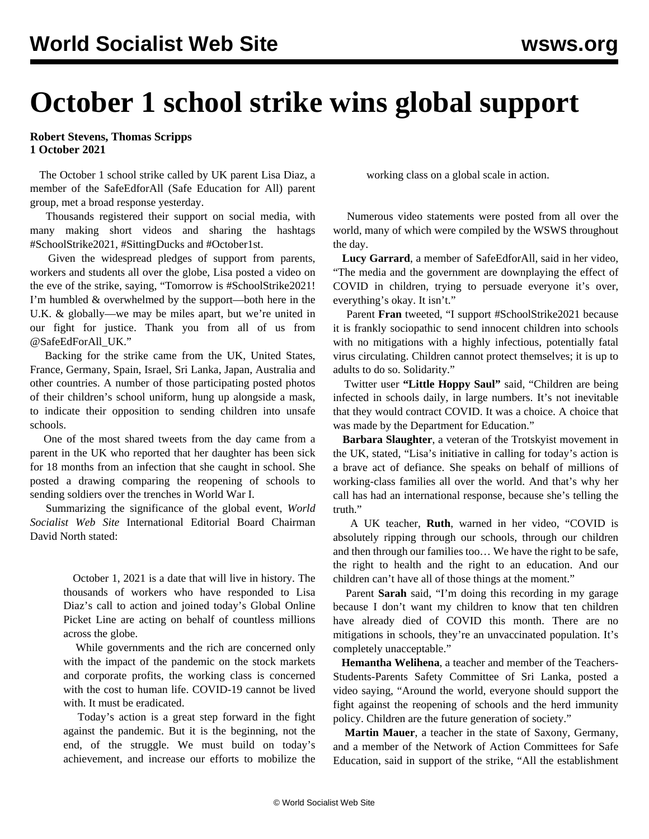## **October 1 school strike wins global support**

**Robert Stevens, Thomas Scripps 1 October 2021**

 The October 1 school strike called by UK parent Lisa Diaz, a member of the SafeEdforAll (Safe Education for All) parent group, met a broad response yesterday.

 Thousands registered their support on social media, with many making short videos and sharing the hashtags #SchoolStrike2021, #SittingDucks and #October1st.

 Given the widespread pledges of support from parents, workers and students all over the globe, Lisa posted a video on the eve of the strike, saying, "Tomorrow is #SchoolStrike2021! I'm humbled & overwhelmed by the support—both here in the U.K. & globally—we may be miles apart, but we're united in our fight for justice. Thank you from all of us from @SafeEdForAll\_UK."

 Backing for the strike came from the UK, United States, France, Germany, Spain, Israel, Sri Lanka, Japan, Australia and other countries. A number of those participating posted photos of their children's school uniform, hung up alongside a mask, to indicate their opposition to sending children into unsafe schools.

 One of the most shared tweets from the day came from a parent in the UK who reported that her daughter has been sick for 18 months from an infection that she caught in school. She posted a drawing comparing the reopening of schools to sending soldiers over the trenches in World War I.

 Summarizing the significance of the global event, *World Socialist Web Site* International Editorial Board Chairman [David North stated](https://twitter.com/DavidNorthWSWS/status/1444073746340458496):

> October 1, 2021 is a date that will live in history. The thousands of workers who have responded to Lisa Diaz's call to action and joined today's Global Online Picket Line are acting on behalf of countless millions across the globe.

> While governments and the rich are concerned only with the impact of the pandemic on the stock markets and corporate profits, the working class is concerned with the cost to human life. COVID-19 cannot be lived with. It must be eradicated.

> Today's action is a great step forward in the fight against the pandemic. But it is the beginning, not the end, of the struggle. We must build on today's achievement, and increase our efforts to mobilize the

working class on a global scale in action.

 Numerous video statements were posted from all over the world, many of which were [compiled by the](/en/articles/2021/10/01/live-o01.html) WSWS throughout the day.

 **Lucy Garrard**, a member of SafeEdforAll, said in her video, "The media and the government are downplaying the effect of COVID in children, trying to persuade everyone it's over, everything's okay. It isn't."

 Parent **Fran** tweeted, "I support #SchoolStrike2021 because it is frankly sociopathic to send innocent children into schools with no mitigations with a highly infectious, potentially fatal virus circulating. Children cannot protect themselves; it is up to adults to do so. Solidarity."

 Twitter user **"Little Hoppy Saul"** said, "Children are being infected in schools daily, in large numbers. It's not inevitable that they would contract COVID. It was a choice. A choice that was made by the Department for Education."

 **Barbara Slaughter**, a veteran of the Trotskyist movement in the UK, stated, "Lisa's initiative in calling for today's action is a brave act of defiance. She speaks on behalf of millions of working-class families all over the world. And that's why her call has had an international response, because she's telling the truth."

 A UK teacher, **Ruth**, warned in her video, "COVID is absolutely ripping through our schools, through our children and then through our families too… We have the right to be safe, the right to health and the right to an education. And our children can't have all of those things at the moment."

 Parent **Sarah** said, "I'm doing this recording in my garage because I don't want my children to know that ten children have already died of COVID this month. There are no mitigations in schools, they're an unvaccinated population. It's completely unacceptable."

 **Hemantha Welihena**, a teacher and member of the Teachers-Students-Parents Safety Committee of Sri Lanka, posted a video saying, "Around the world, everyone should support the fight against the reopening of schools and the herd immunity policy. Children are the future generation of society."

 **Martin Mauer**, a teacher in the state of Saxony, Germany, and a member of the Network of Action Committees for Safe Education, said in support of the strike, "All the establishment